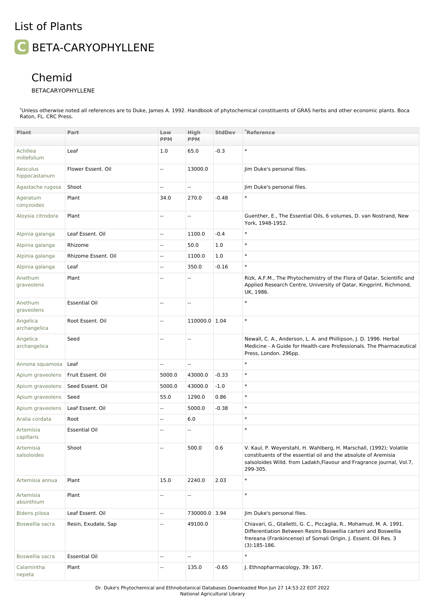## List of Plants

## **C** BETA-CARYOPHYLLENE

## Chemid

## BETACARYOPHYLLENE

\*Unless otherwise noted all references are to Duke, James A. 1992. Handbook of phytochemical constituents of GRAS herbs and other economic plants. Boca Raton, FL. CRC Press.

| Plant                     | Part                 | Low                      | High          | <b>StdDev</b> | <b>Reference</b>                                                                                                                                                                                                            |
|---------------------------|----------------------|--------------------------|---------------|---------------|-----------------------------------------------------------------------------------------------------------------------------------------------------------------------------------------------------------------------------|
|                           |                      | <b>PPM</b>               | <b>PPM</b>    |               |                                                                                                                                                                                                                             |
| Achillea<br>millefolium   | Leaf                 | 1.0                      | 65.0          | $-0.3$        | $\ast$                                                                                                                                                                                                                      |
| Aesculus<br>hippocastanum | Flower Essent. Oil   | $\overline{\phantom{a}}$ | 13000.0       |               | Jim Duke's personal files.                                                                                                                                                                                                  |
| Agastache rugosa          | Shoot                | $\overline{\phantom{a}}$ | Ξ.            |               | Jim Duke's personal files.                                                                                                                                                                                                  |
| Ageratum<br>conyzoides    | Plant                | 34.0                     | 270.0         | $-0.48$       | $\ast$                                                                                                                                                                                                                      |
| Aloysia citrodora         | Plant                |                          | -−            |               | Guenther, E., The Essential Oils, 6 volumes, D. van Nostrand, New<br>York, 1948-1952.                                                                                                                                       |
| Alpinia galanga           | Leaf Essent. Oil     | $\overline{\phantom{a}}$ | 1100.0        | $-0.4$        | $\ast$                                                                                                                                                                                                                      |
| Alpinia galanga           | Rhizome              | $\sim$                   | 50.0          | 1.0           | $\ast$                                                                                                                                                                                                                      |
| Alpinia galanga           | Rhizome Essent. Oil  | --                       | 1100.0        | 1.0           | $\ast$                                                                                                                                                                                                                      |
| Alpinia galanga           | Leaf                 | $\overline{\phantom{a}}$ | 350.0         | $-0.16$       | $\ast$                                                                                                                                                                                                                      |
| Anethum<br>graveolens     | Plant                | $\sim$                   | Ξ.            |               | Rizk, A.F.M., The Phytochemistry of the Flora of Qatar, Scientific and<br>Applied Research Centre, University of Qatar, Kingprint, Richmond,<br>UK, 1986.                                                                   |
| Anethum<br>graveolens     | <b>Essential Oil</b> | $\overline{\phantom{a}}$ | $- -$         |               | $\ast$                                                                                                                                                                                                                      |
| Angelica<br>archangelica  | Root Essent. Oil     | $\overline{\phantom{a}}$ | 110000.0 1.04 |               | $\ast$                                                                                                                                                                                                                      |
| Angelica<br>archangelica  | Seed                 |                          | ä.            |               | Newall, C. A., Anderson, L. A. and Phillipson, J. D. 1996. Herbal<br>Medicine - A Guide for Health-care Professionals. The Pharmaceutical<br>Press, London. 296pp.                                                          |
| Annona squamosa           | Leaf                 | Ξ.                       | Ξ.            |               | $\ast$                                                                                                                                                                                                                      |
| Apium graveolens          | Fruit Essent. Oil    | 5000.0                   | 43000.0       | $-0.33$       | $\ast$                                                                                                                                                                                                                      |
| Apium graveolens          | Seed Essent. Oil     | 5000.0                   | 43000.0       | $-1.0$        | $\ast$                                                                                                                                                                                                                      |
| Apium graveolens          | Seed                 | 55.0                     | 1290.0        | 0.86          | $\ast$                                                                                                                                                                                                                      |
| Apium graveolens          | Leaf Essent. Oil     | $\sim$                   | 5000.0        | $-0.38$       | $\ast$                                                                                                                                                                                                                      |
| Aralia cordata            | Root                 | $\overline{\phantom{a}}$ | 6.0           |               | $\ast$                                                                                                                                                                                                                      |
| Artemisia<br>capillaris   | <b>Essential Oil</b> | $\sim$                   | $-$           |               | $\ast$                                                                                                                                                                                                                      |
| Artemisia<br>salsoloides  | Shoot                | $\overline{\phantom{a}}$ | 500.0         | 0.6           | V. Kaul, P. Weyerstahl, H. Wahlberg, H. Marschall, (1992); Volatile<br>constituents of the essential oil and the absolute of Aremisia<br>salsoloides Willd. from Ladakh, Flavour and Fragrance journal, Vol.7,<br>299-305.  |
| Artemisia annua           | Plant                | 15.0                     | 2240.0        | 2.03          | $\ast$                                                                                                                                                                                                                      |
| Artemisia<br>absinthium   | Plant                | $\overline{\phantom{a}}$ | Ξ.            |               | $\ast$                                                                                                                                                                                                                      |
| <b>Bidens pilosa</b>      | Leaf Essent. Oil     | $\overline{\phantom{a}}$ | 730000.0 3.94 |               | Jim Duke's personal files.                                                                                                                                                                                                  |
| Boswellia sacra           | Resin, Exudate, Sap  | $\overline{a}$           | 49100.0       |               | Chiavari, G., Gtalletti, G. C., Piccaglia, R., Mohamud, M. A. 1991.<br>Differentiation Between Resins Boswellia carterii and Boswellia<br>frereana (Frankincense) of Somali Origin. J. Essent. Oil Res. 3<br>$(3):185-186.$ |
| Boswellia sacra           | <b>Essential Oil</b> | $\overline{\phantom{a}}$ | 4             |               | $\ast$                                                                                                                                                                                                                      |
| Calamintha<br>nepeta      | Plant                | $\overline{\phantom{a}}$ | 135.0         | $-0.65$       | J. Ethnopharmacology, 39: 167.                                                                                                                                                                                              |

Dr. Duke's Phytochemical and Ethnobotanical Databases Downloaded Mon Jun 27 14:53:22 EDT 2022 National Agricultural Library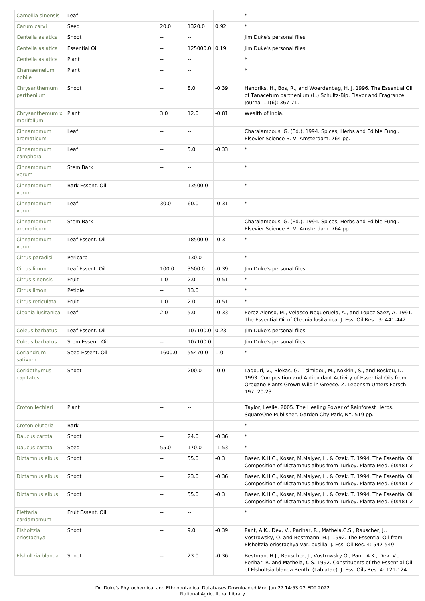| Camellia sinensis             | Leaf                 | $\overline{\phantom{a}}$ | $\overline{\phantom{a}}$  |         | $\ast$                                                                                                                                                                                                                  |
|-------------------------------|----------------------|--------------------------|---------------------------|---------|-------------------------------------------------------------------------------------------------------------------------------------------------------------------------------------------------------------------------|
| Carum carvi                   | Seed                 | 20.0                     | 1320.0                    | 0.92    | $\ast$                                                                                                                                                                                                                  |
| Centella asiatica             | Shoot                | $\overline{a}$           | $\overline{\phantom{a}}$  |         | Jim Duke's personal files.                                                                                                                                                                                              |
| Centella asiatica             | <b>Essential Oil</b> | $\overline{\phantom{a}}$ | 125000.0 0.19             |         | Jim Duke's personal files.                                                                                                                                                                                              |
| Centella asiatica             | Plant                | $\overline{\phantom{a}}$ | $\sim$                    |         | $\ast$                                                                                                                                                                                                                  |
| Chamaemelum<br>nobile         | Plant                |                          | $\overline{a}$            |         | $\ast$                                                                                                                                                                                                                  |
| Chrysanthemum<br>parthenium   | Shoot                |                          | 8.0                       | $-0.39$ | Hendriks, H., Bos, R., and Woerdenbag, H. J. 1996. The Essential Oil<br>of Tanacetum parthenium (L.) Schultz-Bip. Flavor and Fragrance<br>Journal 11(6): 367-71.                                                        |
| Chrysanthemum x<br>morifolium | Plant                | 3.0                      | 12.0                      | $-0.81$ | Wealth of India.                                                                                                                                                                                                        |
| Cinnamomum<br>aromaticum      | Leaf                 | Ξ.                       | $\overline{a}$            |         | Charalambous, G. (Ed.). 1994. Spices, Herbs and Edible Fungi.<br>Elsevier Science B. V. Amsterdam. 764 pp.                                                                                                              |
| Cinnamomum<br>camphora        | Leaf                 | $\overline{\phantom{a}}$ | 5.0                       | $-0.33$ | $\ast$                                                                                                                                                                                                                  |
| Cinnamomum<br>verum           | <b>Stem Bark</b>     | $\overline{\phantom{a}}$ | $\overline{\phantom{a}}$  |         | $\ast$                                                                                                                                                                                                                  |
| Cinnamomum<br>verum           | Bark Essent. Oil     | Щ,                       | 13500.0                   |         | $\ast$                                                                                                                                                                                                                  |
| Cinnamomum<br>verum           | Leaf                 | 30.0                     | 60.0                      | $-0.31$ | $\ast$                                                                                                                                                                                                                  |
| Cinnamomum<br>aromaticum      | <b>Stem Bark</b>     |                          | ۰.                        |         | Charalambous, G. (Ed.). 1994. Spices, Herbs and Edible Fungi.<br>Elsevier Science B. V. Amsterdam. 764 pp.                                                                                                              |
| Cinnamomum<br>verum           | Leaf Essent. Oil     | $\overline{\phantom{a}}$ | 18500.0                   | $-0.3$  | $\ast$                                                                                                                                                                                                                  |
| Citrus paradisi               | Pericarp             | Щ,                       | 130.0                     |         | $\ast$                                                                                                                                                                                                                  |
| Citrus limon                  | Leaf Essent. Oil     | 100.0                    | 3500.0                    | $-0.39$ | Jim Duke's personal files.                                                                                                                                                                                              |
| Citrus sinensis               | Fruit                | 1.0                      | 2.0                       | $-0.51$ | $\ast$                                                                                                                                                                                                                  |
| Citrus limon                  | Petiole              | $\mathbf{u}$             | 13.0                      |         | $\ast$                                                                                                                                                                                                                  |
| Citrus reticulata             | Fruit                | 1.0                      | 2.0                       | $-0.51$ | $\ast$                                                                                                                                                                                                                  |
| Cleonia Iusitanica            | Leaf                 | 2.0                      | 5.0                       | $-0.33$ | Perez-Alonso, M., Velasco-Negueruela, A., and Lopez-Saez, A. 1991.<br>The Essential Oil of Cleonia Iusitanica. J. Ess. Oil Res., 3: 441-442.                                                                            |
| Coleus barbatus               | Leaf Essent, Oil     | $\overline{\phantom{a}}$ | 107100.0 0.23             |         | Jim Duke's personal files.                                                                                                                                                                                              |
| Coleus barbatus               | Stem Essent. Oil     | Ξ.                       | 107100.0                  |         | Jim Duke's personal files.                                                                                                                                                                                              |
| Coriandrum<br>sativum         | Seed Essent. Oil     | 1600.0                   | 55470.0                   | 1.0     | $\ast$                                                                                                                                                                                                                  |
| Coridothymus<br>capitatus     | Shoot                | $\overline{\phantom{a}}$ | 200.0                     | $-0.0$  | Lagouri, V., Blekas, G., Tsimidou, M., Kokkini, S., and Boskou, D.<br>1993. Composition and Antioxidant Activity of Essential Oils from<br>Oregano Plants Grown Wild in Greece. Z. Lebensm Unters Forsch<br>197: 20-23. |
| Croton lechleri               | Plant                | $\overline{\phantom{a}}$ | $\overline{\phantom{a}}$  |         | Taylor, Leslie. 2005. The Healing Power of Rainforest Herbs.<br>SquareOne Publisher, Garden City Park, NY. 519 pp.                                                                                                      |
| Croton eluteria               | <b>Bark</b>          | Ξ.                       | $\mathbb{L}^{\mathbb{L}}$ |         | $\ast$                                                                                                                                                                                                                  |
| Daucus carota                 | Shoot                | Щ,                       | 24.0                      | $-0.36$ | $\ast$                                                                                                                                                                                                                  |
| Daucus carota                 | Seed                 | 55.0                     | 170.0                     | $-1.53$ | $\ast$                                                                                                                                                                                                                  |
| Dictamnus albus               | Shoot                | $- -$                    | 55.0                      | $-0.3$  | Baser, K.H.C., Kosar, M.Malyer, H. & Ozek, T. 1994. The Essential Oil<br>Composition of Dictamnus albus from Turkey. Planta Med. 60:481-2                                                                               |
| Dictamnus albus               | Shoot                | Ξ.                       | 23.0                      | $-0.36$ | Baser, K.H.C., Kosar, M.Malyer, H. & Ozek, T. 1994. The Essential Oil<br>Composition of Dictamnus albus from Turkey. Planta Med. 60:481-2                                                                               |
| Dictamnus albus               | Shoot                | Ξ.                       | 55.0                      | $-0.3$  | Baser, K.H.C., Kosar, M.Malyer, H. & Ozek, T. 1994. The Essential Oil<br>Composition of Dictamnus albus from Turkey. Planta Med. 60:481-2                                                                               |
| Elettaria<br>cardamomum       | Fruit Essent. Oil    | $\overline{a}$           | Ξ.                        |         | $\ast$                                                                                                                                                                                                                  |
| Elsholtzia<br>eriostachya     | Shoot                | $\overline{\phantom{a}}$ | 9.0                       | $-0.39$ | Pant, A.K., Dev, V., Parihar, R., Mathela, C.S., Rauscher, J.,<br>Vostrowsky, O. and Bestmann, H.J. 1992. The Essential Oil from<br>Elsholtzia eriostachya var. pusilla. J. Ess. Oil Res. 4: 547-549.                   |
| Elsholtzia blanda             | Shoot                | ۰.                       | 23.0                      | $-0.36$ | Bestman, H.J., Rauscher, J., Vostrowsky O., Pant, A.K., Dev. V.,<br>Perihar, R. and Mathela, C.S. 1992. Constituents of the Essential Oil<br>of Elsholtsia blanda Benth. (Labiatae). J. Ess. Oils Res. 4: 121-124       |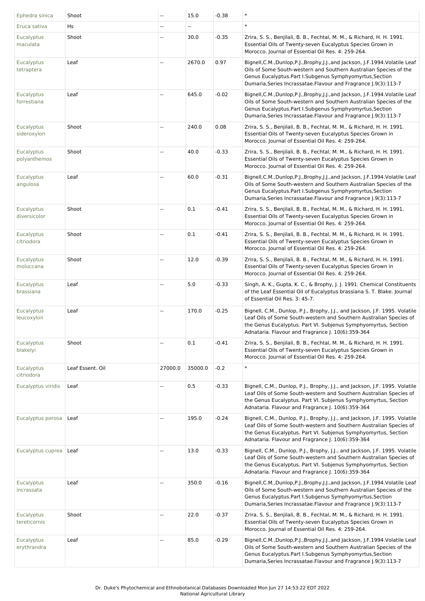| Ephedra sinica                  | Shoot            | $\overline{\phantom{a}}$ | 15.0    | $-0.38$ | $\ast$                                                                                                                                                                                                                                                                                |
|---------------------------------|------------------|--------------------------|---------|---------|---------------------------------------------------------------------------------------------------------------------------------------------------------------------------------------------------------------------------------------------------------------------------------------|
| Eruca sativa                    | Hs               | $\overline{\phantom{a}}$ | Щ.      |         | $\ast$                                                                                                                                                                                                                                                                                |
| Eucalyptus<br>maculata          | Shoot            | --                       | 30.0    | $-0.35$ | Zrira, S. S., Benjilali, B. B., Fechtal, M. M., & Richard, H. H. 1991.<br>Essential Oils of Twenty-seven Eucalyptus Species Grown in<br>Morocco. Journal of Essential Oil Res. 4: 259-264.                                                                                            |
| Eucalyptus<br>tetraptera        | Leaf             | $\overline{\phantom{a}}$ | 2670.0  | 0.97    | Bignell, C.M., Dunlop, P.J., Brophy, J.J., and Jackson, J.F. 1994. Volatile Leaf<br>Oils of Some South-western and Southern Australian Species of the<br>Genus Eucalyptus. Part I. Subgenus Symphyomyrtus, Section<br>Dumaria, Series Incrassatae. Flavour and Fragrance J.9(3):113-7 |
| Eucalyptus<br>forrestiana       | Leaf             | $\overline{\phantom{a}}$ | 645.0   | $-0.02$ | Bignell, C.M., Dunlop, P.J., Brophy, J.J., and Jackson, J.F. 1994. Volatile Leaf<br>Oils of Some South-western and Southern Australian Species of the<br>Genus Eucalyptus. Part I. Subgenus Symphyomyrtus, Section<br>Dumaria, Series Incrassatae. Flavour and Fragrance J.9(3):113-7 |
| Eucalyptus<br>sideroxylon       | Shoot            |                          | 240.0   | 0.08    | Zrira, S. S., Benjilali, B. B., Fechtal, M. M., & Richard, H. H. 1991.<br>Essential Oils of Twenty-seven Eucalyptus Species Grown in<br>Morocco. Journal of Essential Oil Res. 4: 259-264.                                                                                            |
| Eucalyptus<br>polyanthemos      | Shoot            |                          | 40.0    | $-0.33$ | Zrira, S. S., Benjilali, B. B., Fechtal, M. M., & Richard, H. H. 1991.<br>Essential Oils of Twenty-seven Eucalyptus Species Grown in<br>Morocco. Journal of Essential Oil Res. 4: 259-264.                                                                                            |
| Eucalyptus<br>angulosa          | Leaf             | $\overline{\phantom{a}}$ | 60.0    | $-0.31$ | Bignell, C.M., Dunlop, P.J., Brophy, J.J., and Jackson, J.F. 1994. Volatile Leaf<br>Oils of Some South-western and Southern Australian Species of the<br>Genus Eucalyptus. Part I. Subgenus Symphyomyrtus, Section<br>Dumaria, Series Incrassatae. Flavour and Fragrance J.9(3):113-7 |
| Eucalyptus<br>diversicolor      | Shoot            | $\overline{\phantom{a}}$ | 0.1     | $-0.41$ | Zrira, S. S., Benjilali, B. B., Fechtal, M. M., & Richard, H. H. 1991.<br>Essential Oils of Twenty-seven Eucalyptus Species Grown in<br>Morocco. Journal of Essential Oil Res. 4: 259-264.                                                                                            |
| Eucalyptus<br>citriodora        | Shoot            | --                       | 0.1     | $-0.41$ | Zrira, S. S., Benjilali, B. B., Fechtal, M. M., & Richard, H. H. 1991.<br>Essential Oils of Twenty-seven Eucalyptus Species Grown in<br>Morocco. Journal of Essential Oil Res. 4: 259-264.                                                                                            |
| Eucalyptus<br>moluccana         | Shoot            | $\overline{\phantom{a}}$ | 12.0    | $-0.39$ | Zrira, S. S., Benjilali, B. B., Fechtal, M. M., & Richard, H. H. 1991.<br>Essential Oils of Twenty-seven Eucalyptus Species Grown in<br>Morocco. Journal of Essential Oil Res. 4: 259-264.                                                                                            |
| Eucalyptus<br>brassiana         | Leaf             |                          | 5.0     | $-0.33$ | Singh, A. K., Gupta, K. C., & Brophy, J. J. 1991. Chemical Constituents<br>of the Leaf Essential Oil of Eucalyptus brassiana S. T. Blake. Journal<br>of Essential Oil Res. 3: 45-7.                                                                                                   |
| Eucalyptus<br>leucoxylon        | Leaf             | ш.                       | 170.0   | $-0.25$ | Bignell, C.M., Dunlop, P.J., Brophy, J.J., and Jackson, J.F. 1995. Volatile<br>Leaf Oils of Some South-western and Southern Australian Species of<br>the Genus Eucalyptus. Part VI. Subjenus Symphyomyrtus, Section<br>Adnataria. Flavour and Fragrance J. 10(6):359-364              |
| Eucalyptus<br>blakelyi          | Shoot            | $\overline{\phantom{a}}$ | 0.1     | $-0.41$ | Zrira, S. S., Benjilali, B. B., Fechtal, M. M., & Richard, H. H. 1991.<br>Essential Oils of Twenty-seven Eucalyptus Species Grown in<br>Morocco. Journal of Essential Oil Res. 4: 259-264.                                                                                            |
| <b>Eucalyptus</b><br>citriodora | Leaf Essent. Oil | 27000.0                  | 35000.0 | $-0.2$  | $\ast$                                                                                                                                                                                                                                                                                |
| Eucalyptus viridis              | Leaf             | Щ,                       | 0.5     | $-0.33$ | Bignell, C.M., Dunlop, P.J., Brophy, J.J., and Jackson, J.F. 1995. Volatile<br>Leaf Oils of Some South-western and Southern Australian Species of<br>the Genus Eucalyptus. Part VI. Subjenus Symphyomyrtus, Section<br>Adnataria. Flavour and Fragrance J. 10(6):359-364              |
| Eucalyptus porosa               | Leaf             | --                       | 195.0   | $-0.24$ | Bignell, C.M., Dunlop, P.J., Brophy, J.J., and Jackson, J.F. 1995. Volatile<br>Leaf Oils of Some South-western and Southern Australian Species of<br>the Genus Eucalyptus. Part VI. Subjenus Symphyomyrtus, Section<br>Adnataria. Flavour and Fragrance J. 10(6):359-364              |
| Eucalyptus cuprea               | Leaf             |                          | 13.0    | $-0.33$ | Bignell, C.M., Dunlop, P.J., Brophy, J.J., and Jackson, J.F. 1995. Volatile<br>Leaf Oils of Some South-western and Southern Australian Species of<br>the Genus Eucalyptus. Part VI. Subjenus Symphyomyrtus, Section<br>Adnataria. Flavour and Fragrance J. 10(6):359-364              |
| <b>Eucalyptus</b><br>incrassata | Leaf             |                          | 350.0   | $-0.16$ | Bignell, C.M., Dunlop, P.J., Brophy, J.J., and Jackson, J.F. 1994. Volatile Leaf<br>Oils of Some South-western and Southern Australian Species of the<br>Genus Eucalyptus. Part I. Subgenus Symphyomyrtus, Section<br>Dumaria, Series Incrassatae. Flavour and Fragrance J.9(3):113-7 |
| Eucalyptus<br>tereticornis      | Shoot            | $\overline{\phantom{a}}$ | 22.0    | $-0.37$ | Zrira, S. S., Benjilali, B. B., Fechtal, M. M., & Richard, H. H. 1991.<br>Essential Oils of Twenty-seven Eucalyptus Species Grown in<br>Morocco. Journal of Essential Oil Res. 4: 259-264.                                                                                            |
| Eucalyptus<br>erythrandra       | Leaf             | $\overline{\phantom{a}}$ | 85.0    | $-0.29$ | Bignell, C.M., Dunlop, P.J., Brophy, J.J., and Jackson, J.F. 1994. Volatile Leaf<br>Oils of Some South-western and Southern Australian Species of the<br>Genus Eucalyptus. Part I. Subgenus Symphyomyrtus, Section<br>Dumaria, Series Incrassatae. Flavour and Fragrance J.9(3):113-7 |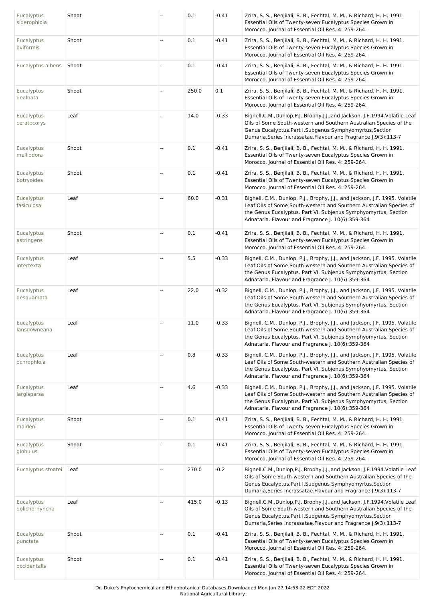| Eucalyptus<br>siderophloia        | Shoot | $\overline{\phantom{a}}$ | 0.1   | $-0.41$ | Zrira, S. S., Benjilali, B. B., Fechtal, M. M., & Richard, H. H. 1991.<br>Essential Oils of Twenty-seven Eucalyptus Species Grown in<br>Morocco. Journal of Essential Oil Res. 4: 259-264.                                                                                            |
|-----------------------------------|-------|--------------------------|-------|---------|---------------------------------------------------------------------------------------------------------------------------------------------------------------------------------------------------------------------------------------------------------------------------------------|
| Eucalyptus<br>oviformis           | Shoot |                          | 0.1   | $-0.41$ | Zrira, S. S., Benjilali, B. B., Fechtal, M. M., & Richard, H. H. 1991.<br>Essential Oils of Twenty-seven Eucalyptus Species Grown in<br>Morocco. Journal of Essential Oil Res. 4: 259-264.                                                                                            |
| Eucalyptus albens                 | Shoot | $\overline{\phantom{a}}$ | 0.1   | $-0.41$ | Zrira, S. S., Benjilali, B. B., Fechtal, M. M., & Richard, H. H. 1991.<br>Essential Oils of Twenty-seven Eucalyptus Species Grown in<br>Morocco. Journal of Essential Oil Res. 4: 259-264.                                                                                            |
| Eucalyptus<br>dealbata            | Shoot | $\overline{\phantom{a}}$ | 250.0 | 0.1     | Zrira, S. S., Benjilali, B. B., Fechtal, M. M., & Richard, H. H. 1991.<br>Essential Oils of Twenty-seven Eucalyptus Species Grown in<br>Morocco. Journal of Essential Oil Res. 4: 259-264.                                                                                            |
| <b>Eucalyptus</b><br>ceratocorys  | Leaf  | $\overline{\phantom{a}}$ | 14.0  | $-0.33$ | Bignell, C.M., Dunlop, P.J., Brophy, J.J., and Jackson, J.F. 1994. Volatile Leaf<br>Oils of Some South-western and Southern Australian Species of the<br>Genus Eucalyptus. Part I. Subgenus Symphyomyrtus, Section<br>Dumaria, Series Incrassatae. Flavour and Fragrance J.9(3):113-7 |
| Eucalyptus<br>melliodora          | Shoot | $\overline{\phantom{a}}$ | 0.1   | $-0.41$ | Zrira, S. S., Benjilali, B. B., Fechtal, M. M., & Richard, H. H. 1991.<br>Essential Oils of Twenty-seven Eucalyptus Species Grown in<br>Morocco. Journal of Essential Oil Res. 4: 259-264.                                                                                            |
| <b>Eucalyptus</b><br>botryoides   | Shoot | $\overline{\phantom{a}}$ | 0.1   | $-0.41$ | Zrira, S. S., Benjilali, B. B., Fechtal, M. M., & Richard, H. H. 1991.<br>Essential Oils of Twenty-seven Eucalyptus Species Grown in<br>Morocco. Journal of Essential Oil Res. 4: 259-264.                                                                                            |
| <b>Eucalyptus</b><br>fasiculosa   | Leaf  | $\overline{\phantom{a}}$ | 60.0  | $-0.31$ | Bignell, C.M., Dunlop, P.J., Brophy, J.J., and Jackson, J.F. 1995. Volatile<br>Leaf Oils of Some South-western and Southern Australian Species of<br>the Genus Eucalyptus. Part VI. Subjenus Symphyomyrtus, Section<br>Adnataria. Flavour and Fragrance J. 10(6):359-364              |
| <b>Eucalyptus</b><br>astringens   | Shoot | $\overline{\phantom{a}}$ | 0.1   | $-0.41$ | Zrira, S. S., Benjilali, B. B., Fechtal, M. M., & Richard, H. H. 1991.<br>Essential Oils of Twenty-seven Eucalyptus Species Grown in<br>Morocco. Journal of Essential Oil Res. 4: 259-264.                                                                                            |
| <b>Eucalyptus</b><br>intertexta   | Leaf  | $\overline{a}$           | 5.5   | $-0.33$ | Bignell, C.M., Dunlop, P.J., Brophy, J.J., and Jackson, J.F. 1995. Volatile<br>Leaf Oils of Some South-western and Southern Australian Species of<br>the Genus Eucalyptus. Part VI. Subjenus Symphyomyrtus, Section<br>Adnataria. Flavour and Fragrance J. 10(6):359-364              |
| Eucalyptus<br>desquamata          | Leaf  | $\sim$                   | 22.0  | $-0.32$ | Bignell, C.M., Dunlop, P.J., Brophy, J.J., and Jackson, J.F. 1995. Volatile<br>Leaf Oils of Some South-western and Southern Australian Species of<br>the Genus Eucalyptus. Part VI. Subjenus Symphyomyrtus, Section<br>Adnataria. Flavour and Fragrance J. 10(6):359-364              |
| Eucalyptus<br>lansdowneana        | Leaf  | $\overline{\phantom{a}}$ | 11.0  | $-0.33$ | Bignell, C.M., Dunlop, P.J., Brophy, J.J., and Jackson, J.F. 1995. Volatile<br>Leaf Oils of Some South-western and Southern Australian Species of<br>the Genus Eucalyptus. Part VI. Subjenus Symphyomyrtus, Section<br>Adnataria. Flavour and Fragrance J. 10(6):359-364              |
| Eucalyptus<br>ochrophloia         | Leaf  |                          | 0.8   | $-0.33$ | Bignell, C.M., Dunlop, P.J., Brophy, J.J., and Jackson, J.F. 1995. Volatile<br>Leaf Oils of Some South-western and Southern Australian Species of<br>the Genus Eucalyptus. Part VI. Subjenus Symphyomyrtus, Section<br>Adnataria. Flavour and Fragrance J. 10(6):359-364              |
| Eucalyptus<br>largisparsa         | Leaf  |                          | 4.6   | $-0.33$ | Bignell, C.M., Dunlop, P.J., Brophy, J.J., and Jackson, J.F. 1995. Volatile<br>Leaf Oils of Some South-western and Southern Australian Species of<br>the Genus Eucalyptus. Part VI. Subjenus Symphyomyrtus, Section<br>Adnataria. Flavour and Fragrance J. 10(6):359-364              |
| Eucalyptus<br>maideni             | Shoot | $\overline{\phantom{a}}$ | 0.1   | $-0.41$ | Zrira, S. S., Benjilali, B. B., Fechtal, M. M., & Richard, H. H. 1991.<br>Essential Oils of Twenty-seven Eucalyptus Species Grown in<br>Morocco. Journal of Essential Oil Res. 4: 259-264.                                                                                            |
| <b>Eucalyptus</b><br>globulus     | Shoot | $\overline{\phantom{a}}$ | 0.1   | $-0.41$ | Zrira, S. S., Benjilali, B. B., Fechtal, M. M., & Richard, H. H. 1991.<br>Essential Oils of Twenty-seven Eucalyptus Species Grown in<br>Morocco. Journal of Essential Oil Res. 4: 259-264.                                                                                            |
| Eucalyptus stoatei   Leaf         |       |                          | 270.0 | $-0.2$  | Bignell, C.M., Dunlop, P.J., Brophy, J.J., and Jackson, J.F. 1994. Volatile Leaf<br>Oils of Some South-western and Southern Australian Species of the<br>Genus Eucalyptus. Part I. Subgenus Symphyomyrtus, Section<br>Dumaria, Series Incrassatae. Flavour and Fragrance J.9(3):113-7 |
| Eucalyptus<br>dolichorhyncha      | Leaf  | $\overline{\phantom{a}}$ | 415.0 | $-0.13$ | Bignell, C.M., Dunlop, P.J., Brophy, J.J., and Jackson, J.F. 1994. Volatile Leaf<br>Oils of Some South-western and Southern Australian Species of the<br>Genus Eucalyptus. Part I. Subgenus Symphyomyrtus, Section<br>Dumaria, Series Incrassatae. Flavour and Fragrance J.9(3):113-7 |
| Eucalyptus<br>punctata            | Shoot | $\overline{a}$           | 0.1   | $-0.41$ | Zrira, S. S., Benjilali, B. B., Fechtal, M. M., & Richard, H. H. 1991.<br>Essential Oils of Twenty-seven Eucalyptus Species Grown in<br>Morocco. Journal of Essential Oil Res. 4: 259-264.                                                                                            |
| <b>Eucalyptus</b><br>occidentalis | Shoot | $\overline{\phantom{a}}$ | 0.1   | $-0.41$ | Zrira, S. S., Benjilali, B. B., Fechtal, M. M., & Richard, H. H. 1991.<br>Essential Oils of Twenty-seven Eucalyptus Species Grown in<br>Morocco. Journal of Essential Oil Res. 4: 259-264.                                                                                            |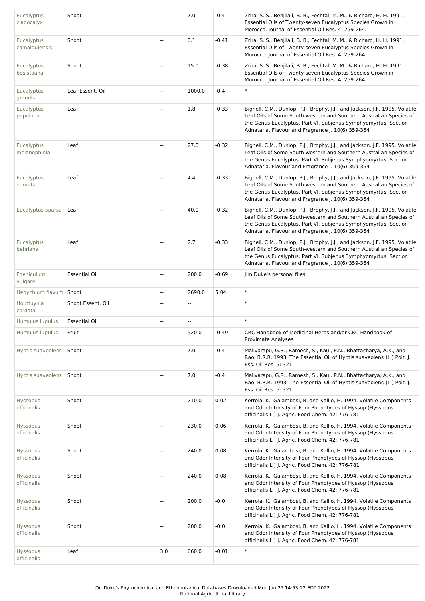| Eucalyptus<br>cladocalyx    | Shoot                | ۵.  | 7.0                      | $-0.4$  | Zrira, S. S., Benjilali, B. B., Fechtal, M. M., & Richard, H. H. 1991.<br>Essential Oils of Twenty-seven Eucalyptus Species Grown in<br>Morocco. Journal of Essential Oil Res. 4: 259-264.                                                                               |
|-----------------------------|----------------------|-----|--------------------------|---------|--------------------------------------------------------------------------------------------------------------------------------------------------------------------------------------------------------------------------------------------------------------------------|
| Eucalyptus<br>camaldulensis | Shoot                | Щ,  | 0.1                      | $-0.41$ | Zrira, S. S., Benjilali, B. B., Fechtal, M. M., & Richard, H. H. 1991.<br>Essential Oils of Twenty-seven Eucalyptus Species Grown in<br>Morocco. Journal of Essential Oil Res. 4: 259-264.                                                                               |
| Eucalyptus<br>bosistoana    | Shoot                | --  | 15.0                     | $-0.38$ | Zrira, S. S., Benjilali, B. B., Fechtal, M. M., & Richard, H. H. 1991.<br>Essential Oils of Twenty-seven Eucalyptus Species Grown in<br>Morocco. Journal of Essential Oil Res. 4: 259-264.                                                                               |
| Eucalyptus<br>grandis       | Leaf Essent. Oil     | 44  | 1000.0                   | $-0.4$  | $\ast$                                                                                                                                                                                                                                                                   |
| Eucalyptus<br>populnea      | Leaf                 | Ξ.  | 1.8                      | $-0.33$ | Bignell, C.M., Dunlop, P.J., Brophy, J.J., and Jackson, J.F. 1995. Volatile<br>Leaf Oils of Some South-western and Southern Australian Species of<br>the Genus Eucalyptus. Part VI. Subjenus Symphyomyrtus, Section<br>Adnataria. Flavour and Fragrance J. 10(6):359-364 |
| Eucalyptus<br>melanophloia  | Leaf                 | --  | 27.0                     | $-0.32$ | Bignell, C.M., Dunlop, P.J., Brophy, J.J., and Jackson, J.F. 1995. Volatile<br>Leaf Oils of Some South-western and Southern Australian Species of<br>the Genus Eucalyptus. Part VI. Subjenus Symphyomyrtus, Section<br>Adnataria. Flavour and Fragrance J. 10(6):359-364 |
| Eucalyptus<br>odorata       | Leaf                 | --  | 4.4                      | $-0.33$ | Bignell, C.M., Dunlop, P.J., Brophy, J.J., and Jackson, J.F. 1995. Volatile<br>Leaf Oils of Some South-western and Southern Australian Species of<br>the Genus Eucalyptus. Part VI. Subjenus Symphyomyrtus, Section<br>Adnataria. Flavour and Fragrance J. 10(6):359-364 |
| Eucalyptus sparsa           | Leaf                 | --  | 40.0                     | $-0.32$ | Bignell, C.M., Dunlop, P.J., Brophy, J.J., and Jackson, J.F. 1995. Volatile<br>Leaf Oils of Some South-western and Southern Australian Species of<br>the Genus Eucalyptus. Part VI. Subjenus Symphyomyrtus, Section<br>Adnataria. Flavour and Fragrance J. 10(6):359-364 |
| Eucalyptus<br>behriana      | Leaf                 | Щ,  | 2.7                      | $-0.33$ | Bignell, C.M., Dunlop, P.J., Brophy, J.J., and Jackson, J.F. 1995. Volatile<br>Leaf Oils of Some South-western and Southern Australian Species of<br>the Genus Eucalyptus. Part VI. Subjenus Symphyomyrtus, Section<br>Adnataria. Flavour and Fragrance J. 10(6):359-364 |
| Foeniculum<br>vulgare       | <b>Essential Oil</b> | --  | 200.0                    | $-0.69$ | Jim Duke's personal files.                                                                                                                                                                                                                                               |
| Hedychium flavum   Shoot    |                      | --  | 2690.0                   | 5.04    | $\ast$                                                                                                                                                                                                                                                                   |
| Houttuynia<br>cordata       | Shoot Essent. Oil    | --  | $\overline{\phantom{a}}$ |         | $\ast$                                                                                                                                                                                                                                                                   |
| Humulus lupulus             | <b>Essential Oil</b> | --  | $\overline{\phantom{a}}$ |         | $\ast$                                                                                                                                                                                                                                                                   |
| Humulus lupulus             | Fruit                | Щ,  | 520.0                    | $-0.49$ | CRC Handbook of Medicinal Herbs and/or CRC Handbook of<br>Proximate Analyses                                                                                                                                                                                             |
| Hyptis suaveolens           | Shoot                | Щ,  | 7.0                      | $-0.4$  | Mallvarapu, G.R., Ramesh, S., Kaul, P.N., Bhattacharya, A.K., and<br>Rao, B.R.R. 1993. The Essential Oil of Hyptis suaveolens (L.) Poit. J.<br>Ess. Oil Res. 5: 321.                                                                                                     |
| Hyptis suaveolens           | Shoot                | Щ,  | 7.0                      | $-0.4$  | Mallvarapu, G.R., Ramesh, S., Kaul, P.N., Bhattacharya, A.K., and<br>Rao, B.R.R. 1993. The Essential Oil of Hyptis suaveolens (L.) Poit. J.<br>Ess. Oil Res. 5: 321.                                                                                                     |
| Hyssopus<br>officinalis     | Shoot                | щ.  | 210.0                    | 0.02    | Kerrola, K., Galambosi, B. and Kallio, H. 1994. Volatile Components<br>and Odor Intensity of Four Phenotypes of Hyssop (Hyssopus<br>officinalis L.) J. Agric. Food Chem. 42: 776-781.                                                                                    |
| Hyssopus<br>officinalis     | Shoot                | щ.  | 230.0                    | 0.06    | Kerrola, K., Galambosi, B. and Kallio, H. 1994. Volatile Components<br>and Odor Intensity of Four Phenotypes of Hyssop (Hyssopus<br>officinalis L.) J. Agric. Food Chem. 42: 776-781.                                                                                    |
| Hyssopus<br>officinalis     | Shoot                | --  | 240.0                    | 0.08    | Kerrola, K., Galambosi, B. and Kallio, H. 1994. Volatile Components<br>and Odor Intensity of Four Phenotypes of Hyssop (Hyssopus<br>officinalis L.) J. Agric. Food Chem. 42: 776-781.                                                                                    |
| Hyssopus<br>officinalis     | Shoot                | --  | 240.0                    | 0.08    | Kerrola, K., Galambosi, B. and Kallio, H. 1994. Volatile Components<br>and Odor Intensity of Four Phenotypes of Hyssop (Hyssopus<br>officinalis L.) J. Agric. Food Chem. 42: 776-781.                                                                                    |
| Hyssopus<br>officinalis     | Shoot                | --  | 200.0                    | $-0.0$  | Kerrola, K., Galambosi, B. and Kallio, H. 1994. Volatile Components<br>and Odor Intensity of Four Phenotypes of Hyssop (Hyssopus<br>officinalis L.) J. Agric. Food Chem. 42: 776-781.                                                                                    |
| Hyssopus<br>officinalis     | Shoot                | --  | 200.0                    | $-0.0$  | Kerrola, K., Galambosi, B. and Kallio, H. 1994. Volatile Components<br>and Odor Intensity of Four Phenotypes of Hyssop (Hyssopus<br>officinalis L.) J. Agric. Food Chem. 42: 776-781.                                                                                    |
| Hyssopus<br>officinalis     | Leaf                 | 3.0 | 660.0                    | $-0.01$ | $\ast$                                                                                                                                                                                                                                                                   |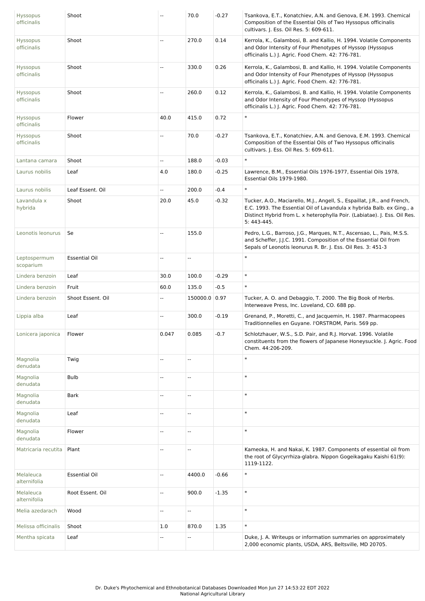| <b>Hyssopus</b><br>officinalis | Shoot                | $\sim$                   | 70.0                     | $-0.27$ | Tsankova, E.T., Konatchiev, A.N. and Genova, E.M. 1993. Chemical<br>Composition of the Essential Oils of Two Hyssopus officinalis<br>cultivars. J. Ess. Oil Res. 5: 609-611.                                                                  |
|--------------------------------|----------------------|--------------------------|--------------------------|---------|-----------------------------------------------------------------------------------------------------------------------------------------------------------------------------------------------------------------------------------------------|
| Hyssopus<br>officinalis        | Shoot                | Ξ.                       | 270.0                    | 0.14    | Kerrola, K., Galambosi, B. and Kallio, H. 1994. Volatile Components<br>and Odor Intensity of Four Phenotypes of Hyssop (Hyssopus<br>officinalis L.) J. Agric. Food Chem. 42: 776-781.                                                         |
| Hyssopus<br>officinalis        | Shoot                | --                       | 330.0                    | 0.26    | Kerrola, K., Galambosi, B. and Kallio, H. 1994. Volatile Components<br>and Odor Intensity of Four Phenotypes of Hyssop (Hyssopus<br>officinalis L.) J. Agric. Food Chem. 42: 776-781.                                                         |
| Hyssopus<br>officinalis        | Shoot                | ÷.                       | 260.0                    | 0.12    | Kerrola, K., Galambosi, B. and Kallio, H. 1994. Volatile Components<br>and Odor Intensity of Four Phenotypes of Hyssop (Hyssopus<br>officinalis L.) J. Agric. Food Chem. 42: 776-781.                                                         |
| Hyssopus<br>officinalis        | Flower               | 40.0                     | 415.0                    | 0.72    | $\ast$                                                                                                                                                                                                                                        |
| Hyssopus<br>officinalis        | Shoot                | $\overline{\phantom{a}}$ | 70.0                     | $-0.27$ | Tsankova, E.T., Konatchiev, A.N. and Genova, E.M. 1993. Chemical<br>Composition of the Essential Oils of Two Hyssopus officinalis<br>cultivars. J. Ess. Oil Res. 5: 609-611.                                                                  |
| Lantana camara                 | Shoot                | Щ,                       | 188.0                    | $-0.03$ | $\ast$                                                                                                                                                                                                                                        |
| Laurus nobilis                 | Leaf                 | 4.0                      | 180.0                    | $-0.25$ | Lawrence, B.M., Essential Oils 1976-1977, Essential Oils 1978,<br>Essential Oils 1979-1980.                                                                                                                                                   |
| Laurus nobilis                 | Leaf Essent. Oil     | ω.                       | 200.0                    | $-0.4$  | $\ast$                                                                                                                                                                                                                                        |
| Lavandula x<br>hybrida         | Shoot                | 20.0                     | 45.0                     | $-0.32$ | Tucker, A.O., Maciarello, M.J., Angell, S., Espaillat, J.R., and French,<br>E.C. 1993. The Essential Oil of Lavandula x hybrida Balb. ex Ging., a<br>Distinct Hybrid from L. x heterophylla Poir. (Labiatae). J. Ess. Oil Res.<br>5: 443-445. |
| Leonotis leonurus              | Se                   | Щ,                       | 155.0                    |         | Pedro, L.G., Barroso, J.G., Marques, N.T., Ascensao, L., Pais, M.S.S.<br>and Scheffer, J.J.C. 1991. Composition of the Essential Oil from<br>Sepals of Leonotis leonurus R. Br. J. Ess. Oil Res. 3: 451-3                                     |
| Leptospermum<br>scoparium      | <b>Essential Oil</b> | $\overline{\phantom{a}}$ | $\sim$                   |         | $\ast$                                                                                                                                                                                                                                        |
| Lindera benzoin                | Leaf                 | 30.0                     | 100.0                    | $-0.29$ | $\ast$                                                                                                                                                                                                                                        |
| Lindera benzoin                | Fruit                | 60.0                     | 135.0                    | $-0.5$  | $\ast$                                                                                                                                                                                                                                        |
| Lindera benzoin                | Shoot Essent. Oil    | $\overline{a}$           | 150000.0 0.97            |         | Tucker, A. O. and Debaggio, T. 2000. The Big Book of Herbs.<br>Interweave Press, Inc. Loveland, CO. 688 pp.                                                                                                                                   |
| Lippia alba                    | Leaf                 | ۵.                       | 300.0                    | $-0.19$ | Grenand, P., Moretti, C., and Jacquemin, H. 1987. Pharmacopees<br>Traditionnelles en Guyane. l'ORSTROM, Paris. 569 pp.                                                                                                                        |
| Lonicera japonica              | Flower               | 0.047                    | 0.085                    | $-0.7$  | Schlotzhauer, W.S., S.D. Pair, and R.J. Horvat. 1996. Volatile<br>constituents from the flowers of Japanese Honeysuckle. J. Agric. Food<br>Chem. 44:206-209.                                                                                  |
| Magnolia<br>denudata           | Twig                 |                          | --                       |         | $\ast$                                                                                                                                                                                                                                        |
| Magnolia<br>denudata           | <b>Bulb</b>          | $\sim$                   | $\overline{\phantom{a}}$ |         | $\ast$                                                                                                                                                                                                                                        |
| Magnolia<br>denudata           | <b>Bark</b>          | $\overline{\phantom{a}}$ | $\overline{\phantom{a}}$ |         | $\ast$                                                                                                                                                                                                                                        |
| Magnolia<br>denudata           | Leaf                 | $\overline{a}$           | ÷.                       |         | $\ast$                                                                                                                                                                                                                                        |
| Magnolia<br>denudata           | Flower               | Щ,                       | Ξ.                       |         | $\ast$                                                                                                                                                                                                                                        |
| Matricaria recutita            | Plant                | $\sim$                   | $\overline{\phantom{a}}$ |         | Kameoka, H. and Nakai, K. 1987. Components of essential oil from<br>the root of Glycyrrhiza-glabra. Nippon Gogeikagaku Kaishi 61(9):<br>1119-1122.                                                                                            |
| Melaleuca<br>alternifolia      | <b>Essential Oil</b> | $\sim$ $\sim$            | 4400.0                   | $-0.66$ | $\ast$                                                                                                                                                                                                                                        |
| Melaleuca<br>alternifolia      | Root Essent. Oil     | $\overline{a}$           | 900.0                    | $-1.35$ | $\ast$                                                                                                                                                                                                                                        |
| Melia azedarach                | Wood                 | $\overline{\phantom{a}}$ | $\overline{\phantom{a}}$ |         | $\ast$                                                                                                                                                                                                                                        |
| Melissa officinalis            | Shoot                | 1.0                      | 870.0                    | 1.35    | $\ast$                                                                                                                                                                                                                                        |
| Mentha spicata                 | Leaf                 |                          | $\overline{a}$           |         | Duke, J. A. Writeups or information summaries on approximately<br>2,000 economic plants, USDA, ARS, Beltsville, MD 20705.                                                                                                                     |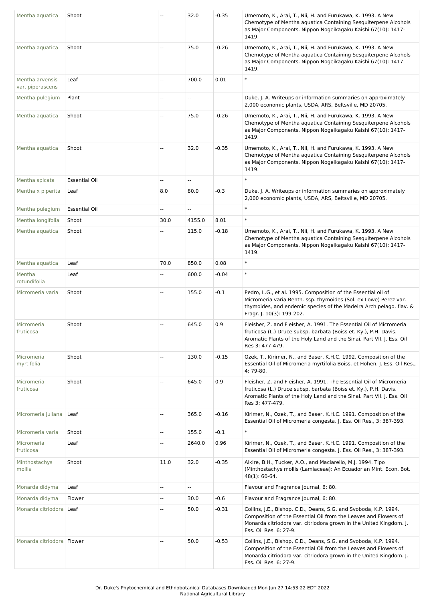| Mentha aquatica                     | Shoot                |                          | 32.0                     | $-0.35$ | Umemoto, K., Arai, T., Nii, H. and Furukawa, K. 1993. A New<br>Chemotype of Mentha aquatica Containing Sesquiterpene Alcohols<br>as Major Components. Nippon Nogeikagaku Kaishi 67(10): 1417-<br>1419.                               |
|-------------------------------------|----------------------|--------------------------|--------------------------|---------|--------------------------------------------------------------------------------------------------------------------------------------------------------------------------------------------------------------------------------------|
| Mentha aquatica                     | Shoot                | $\sim$ $\sim$            | 75.0                     | $-0.26$ | Umemoto, K., Arai, T., Nii, H. and Furukawa, K. 1993. A New<br>Chemotype of Mentha aquatica Containing Sesquiterpene Alcohols<br>as Major Components. Nippon Nogeikagaku Kaishi 67(10): 1417-<br>1419.                               |
| Mentha arvensis<br>var. piperascens | Leaf                 | $\overline{\phantom{a}}$ | 700.0                    | 0.01    | $\ast$                                                                                                                                                                                                                               |
| Mentha pulegium                     | Plant                | $\overline{\phantom{a}}$ | $\overline{a}$           |         | Duke, J. A. Writeups or information summaries on approximately<br>2,000 economic plants, USDA, ARS, Beltsville, MD 20705.                                                                                                            |
| Mentha aquatica                     | Shoot                | Ξ.                       | 75.0                     | $-0.26$ | Umemoto, K., Arai, T., Nii, H. and Furukawa, K. 1993. A New<br>Chemotype of Mentha aquatica Containing Sesquiterpene Alcohols<br>as Major Components. Nippon Nogeikagaku Kaishi 67(10): 1417-<br>1419.                               |
| Mentha aquatica                     | Shoot                | $\overline{\phantom{a}}$ | 32.0                     | $-0.35$ | Umemoto, K., Arai, T., Nii, H. and Furukawa, K. 1993. A New<br>Chemotype of Mentha aquatica Containing Sesquiterpene Alcohols<br>as Major Components. Nippon Nogeikagaku Kaishi 67(10): 1417-<br>1419.                               |
| Mentha spicata                      | <b>Essential Oil</b> | $\sim$                   | $\overline{\phantom{a}}$ |         | $\ast$                                                                                                                                                                                                                               |
| Mentha x piperita                   | Leaf                 | 8.0                      | 80.0                     | $-0.3$  | Duke, J. A. Writeups or information summaries on approximately<br>2,000 economic plants, USDA, ARS, Beltsville, MD 20705.                                                                                                            |
| Mentha pulegium                     | <b>Essential Oil</b> | ÷.                       | ÷.                       |         | $\ast$                                                                                                                                                                                                                               |
| Mentha longifolia                   | Shoot                | 30.0                     | 4155.0                   | 8.01    | $\ast$                                                                                                                                                                                                                               |
| Mentha aquatica                     | Shoot                |                          | 115.0                    | $-0.18$ | Umemoto, K., Arai, T., Nii, H. and Furukawa, K. 1993. A New<br>Chemotype of Mentha aquatica Containing Sesquiterpene Alcohols<br>as Major Components. Nippon Nogeikagaku Kaishi 67(10): 1417-<br>1419.                               |
| Mentha aquatica                     | Leaf                 | 70.0                     | 850.0                    | 0.08    | $\ast$                                                                                                                                                                                                                               |
| Mentha<br>rotundifolia              | Leaf                 | $\overline{\phantom{a}}$ | 600.0                    | $-0.04$ | $\ast$                                                                                                                                                                                                                               |
| Micromeria varia                    | Shoot                | $\overline{\phantom{a}}$ | 155.0                    | $-0.1$  | Pedro, L.G., et al. 1995. Composition of the Essential oil of<br>Micromeria varia Benth. ssp. thymoides (Sol. ex Lowe) Perez var.<br>thymoides, and endemic species of the Madeira Archipelago. flav. &<br>Fragr. J. 10(3): 199-202. |
| Micromeria<br>fruticosa             | Shoot                | $\sim$ $\sim$            | 645.0                    | 0.9     | Fleisher, Z. and Fleisher, A. 1991. The Essential Oil of Micromeria<br>fruticosa (L.) Druce subsp. barbata (Boiss et. Ky.), P.H. Davis.<br>Aromatic Plants of the Holy Land and the Sinai. Part VII. J. Ess. Oil<br>Res 3: 477-479.  |
| Micromeria<br>myrtifolia            | Shoot                | $\overline{\phantom{a}}$ | 130.0                    | $-0.15$ | Ozek, T., Kirimer, N., and Baser, K.H.C. 1992. Composition of the<br>Essential Oil of Micromeria myrtifolia Boiss. et Hohen. J. Ess. Oil Res.,<br>4:79-80.                                                                           |
| Micromeria<br>fruticosa             | Shoot                | $\sim$ $\sim$            | 645.0                    | 0.9     | Fleisher, Z. and Fleisher, A. 1991. The Essential Oil of Micromeria<br>fruticosa (L.) Druce subsp. barbata (Boiss et. Ky.), P.H. Davis.<br>Aromatic Plants of the Holy Land and the Sinai. Part VII. J. Ess. Oil<br>Res 3: 477-479.  |
| Micromeria juliana                  | Leaf                 | $\overline{\phantom{a}}$ | 365.0                    | $-0.16$ | Kirimer, N., Ozek, T., and Baser, K.H.C. 1991. Composition of the<br>Essential Oil of Micromeria congesta. J. Ess. Oil Res., 3: 387-393.                                                                                             |
| Micromeria varia                    | Shoot                | $\overline{\phantom{a}}$ | 155.0                    | $-0.1$  | $\ast$                                                                                                                                                                                                                               |
| Micromeria<br>fruticosa             | Leaf                 | $\overline{\phantom{a}}$ | 2640.0                   | 0.96    | Kirimer, N., Ozek, T., and Baser, K.H.C. 1991. Composition of the<br>Essential Oil of Micromeria congesta. J. Ess. Oil Res., 3: 387-393.                                                                                             |
| Minthostachys<br>mollis             | Shoot                | 11.0                     | 32.0                     | $-0.35$ | Alkire, B.H., Tucker, A.O., and Maciarello, M.J. 1994. Tipo<br>(Minthostachys mollis (Lamiaceae): An Ecuadorian Mint. Econ. Bot.<br>$48(1): 60-64.$                                                                                  |
| Monarda didyma                      | Leaf                 | Ξ.                       | ÷.                       |         | Flavour and Fragrance Journal, 6: 80.                                                                                                                                                                                                |
| Monarda didyma                      | Flower               | Ξ.                       | 30.0                     | $-0.6$  | Flavour and Fragrance Journal, 6: 80.                                                                                                                                                                                                |
| Monarda citriodora   Leaf           |                      |                          | 50.0                     | $-0.31$ | Collins, J.E., Bishop, C.D., Deans, S.G. and Svoboda, K.P. 1994.<br>Composition of the Essential Oil from the Leaves and Flowers of<br>Monarda citriodora var. citriodora grown in the United Kingdom. J.<br>Ess. Oil Res. 6: 27-9.  |
| Monarda citriodora   Flower         |                      | $\overline{\phantom{a}}$ | 50.0                     | $-0.53$ | Collins, J.E., Bishop, C.D., Deans, S.G. and Svoboda, K.P. 1994.<br>Composition of the Essential Oil from the Leaves and Flowers of<br>Monarda citriodora var. citriodora grown in the United Kingdom. J.<br>Ess. Oil Res. 6: 27-9.  |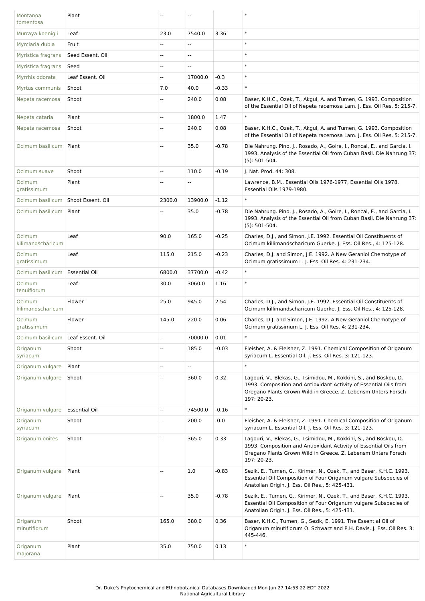| Montanoa<br>tomentosa       | Plant                |                          |                |         |                                                                                                                                                                                                                         |
|-----------------------------|----------------------|--------------------------|----------------|---------|-------------------------------------------------------------------------------------------------------------------------------------------------------------------------------------------------------------------------|
| Murraya koenigii            | Leaf                 | 23.0                     | 7540.0         | 3.36    | $\ast$                                                                                                                                                                                                                  |
| Myrciaria dubia             | Fruit                |                          | ۰.             |         | $\ast$                                                                                                                                                                                                                  |
| Myristica fragrans          | Seed Essent. Oil     | --                       | н.             |         | $\ast$                                                                                                                                                                                                                  |
| Myristica fragrans          | Seed                 | $\overline{a}$           | $\overline{a}$ |         | $\ast$                                                                                                                                                                                                                  |
| Myrrhis odorata             | Leaf Essent. Oil     | $\overline{\phantom{a}}$ | 17000.0        | $-0.3$  | $\ast$                                                                                                                                                                                                                  |
| Myrtus communis             | Shoot                | 7.0                      | 40.0           | $-0.33$ | $\ast$                                                                                                                                                                                                                  |
| Nepeta racemosa             | Shoot                | Ξ.                       | 240.0          | 0.08    | Baser, K.H.C., Ozek, T., Akgul, A. and Tumen, G. 1993. Composition<br>of the Essential Oil of Nepeta racemosa Lam. J. Ess. Oil Res. 5: 215-7.                                                                           |
| Nepeta cataria              | Plant                | --                       | 1800.0         | 1.47    | $\ast$                                                                                                                                                                                                                  |
| Nepeta racemosa             | Shoot                | $\overline{a}$           | 240.0          | 0.08    | Baser, K.H.C., Ozek, T., Akgul, A. and Tumen, G. 1993. Composition<br>of the Essential Oil of Nepeta racemosa Lam. J. Ess. Oil Res. 5: 215-7.                                                                           |
| Ocimum basilicum            | Plant                | $\sim$                   | 35.0           | $-0.78$ | Die Nahrung. Pino, J., Rosado, A., Goire, I., Roncal, E., and Garcia, I.<br>1993. Analysis of the Essential Oil from Cuban Basil. Die Nahrung 37:<br>$(5): 501-504.$                                                    |
| Ocimum suave                | Shoot                | $\overline{\phantom{a}}$ | 110.0          | $-0.19$ | J. Nat. Prod. 44: 308.                                                                                                                                                                                                  |
| Ocimum<br>gratissimum       | Plant                |                          | $\frac{1}{2}$  |         | Lawrence, B.M., Essential Oils 1976-1977, Essential Oils 1978,<br>Essential Oils 1979-1980.                                                                                                                             |
| Ocimum basilicum            | Shoot Essent. Oil    | 2300.0                   | 13900.0        | $-1.12$ | $\ast$                                                                                                                                                                                                                  |
| Ocimum basilicum            | Plant                | Ξ.                       | 35.0           | $-0.78$ | Die Nahrung. Pino, J., Rosado, A., Goire, I., Roncal, E., and Garcia, I.<br>1993. Analysis of the Essential Oil from Cuban Basil. Die Nahrung 37:<br>$(5): 501-504.$                                                    |
| Ocimum<br>kilimandscharicum | Leaf                 | 90.0                     | 165.0          | $-0.25$ | Charles, D.J., and Simon, J.E. 1992. Essential Oil Constituents of<br>Ocimum killimandscharicum Guerke. J. Ess. Oil Res., 4: 125-128.                                                                                   |
| Ocimum<br>gratissimum       | Leaf                 | 115.0                    | 215.0          | $-0.23$ | Charles, D.J. and Simon, J.E. 1992. A New Geraniol Chemotype of<br>Ocimum gratissimum L. J. Ess. Oil Res. 4: 231-234.                                                                                                   |
| Ocimum basilicum            | <b>Essential Oil</b> | 6800.0                   | 37700.0        | $-0.42$ | $\ast$                                                                                                                                                                                                                  |
| Ocimum<br>tenuiflorum       | Leaf                 | 30.0                     | 3060.0         | 1.16    | $\ast$                                                                                                                                                                                                                  |
| Ocimum<br>kilimandscharicum | Flower               | 25.0                     | 945.0          | 2.54    | Charles, D.J., and Simon, J.E. 1992. Essential Oil Constituents of<br>Ocimum killimandscharicum Guerke. J. Ess. Oil Res., 4: 125-128.                                                                                   |
| Ocimum<br>gratissimum       | Flower               | 145.0                    | 220.0          | 0.06    | Charles, D.J. and Simon, J.E. 1992. A New Geraniol Chemotype of<br>Ocimum gratissimum L. J. Ess. Oil Res. 4: 231-234.                                                                                                   |
| Ocimum basilicum            | Leaf Essent. Oil     | --                       | 70000.0        | 0.01    | $\ast$                                                                                                                                                                                                                  |
| Origanum<br>syriacum        | Shoot                | Ξ.                       | 185.0          | $-0.03$ | Fleisher, A. & Fleisher, Z. 1991. Chemical Composition of Origanum<br>syriacum L. Essential Oil. J. Ess. Oil Res. 3: 121-123.                                                                                           |
| Origanum vulgare            | Plant                | --                       | ٠.             |         | $\ast$                                                                                                                                                                                                                  |
| Origanum vulgare            | Shoot                | Ξ.                       | 360.0          | 0.32    | Lagouri, V., Blekas, G., Tsimidou, M., Kokkini, S., and Boskou, D.<br>1993. Composition and Antioxidant Activity of Essential Oils from<br>Oregano Plants Grown Wild in Greece. Z. Lebensm Unters Forsch<br>197: 20-23. |
| Origanum vulgare            | <b>Essential Oil</b> | $\overline{a}$           | 74500.0        | $-0.16$ | $\ast$                                                                                                                                                                                                                  |
| Origanum<br>syriacum        | Shoot                | Ξ.                       | 200.0          | $-0.0$  | Fleisher, A. & Fleisher, Z. 1991. Chemical Composition of Origanum<br>syriacum L. Essential Oil. J. Ess. Oil Res. 3: 121-123.                                                                                           |
| Origanum onites             | Shoot                |                          | 365.0          | 0.33    | Lagouri, V., Blekas, G., Tsimidou, M., Kokkini, S., and Boskou, D.<br>1993. Composition and Antioxidant Activity of Essential Oils from<br>Oregano Plants Grown Wild in Greece. Z. Lebensm Unters Forsch<br>197: 20-23. |
| Origanum vulgare            | Plant                | $\overline{a}$           | 1.0            | $-0.83$ | Sezik, E., Tumen, G., Kirimer, N., Ozek, T., and Baser, K.H.C. 1993.<br>Essential Oil Composition of Four Origanum vulgare Subspecies of<br>Anatolian Origin. J. Ess. Oil Res., 5: 425-431.                             |
| Origanum vulgare            | Plant                | $\overline{\phantom{a}}$ | 35.0           | $-0.78$ | Sezik, E., Tumen, G., Kirimer, N., Ozek, T., and Baser, K.H.C. 1993.<br>Essential Oil Composition of Four Origanum vulgare Subspecies of<br>Anatolian Origin. J. Ess. Oil Res., 5: 425-431.                             |
| Origanum<br>minutiflorum    | Shoot                | 165.0                    | 380.0          | 0.36    | Baser, K.H.C., Tumen, G., Sezik, E. 1991. The Essential Oil of<br>Origanum minutiflorum O. Schwarz and P.H. Davis. J. Ess. Oil Res. 3:<br>445-446.                                                                      |
| Origanum<br>majorana        | Plant                | 35.0                     | 750.0          | 0.13    | $\ast$                                                                                                                                                                                                                  |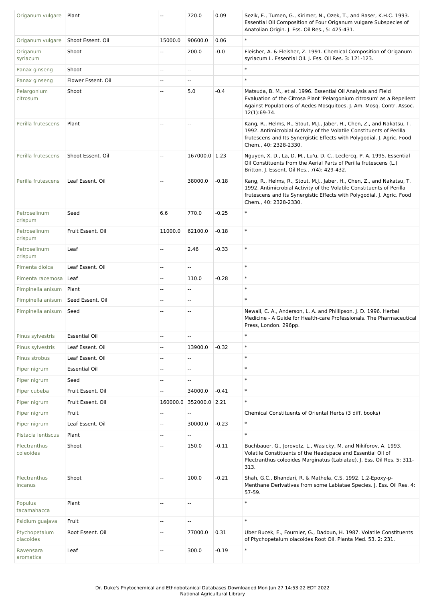| Origanum vulgare           | Plant                |                          | 720.0                  | 0.09    | Sezik, E., Tumen, G., Kirimer, N., Ozek, T., and Baser, K.H.C. 1993.<br>Essential Oil Composition of Four Origanum vulgare Subspecies of<br>Anatolian Origin. J. Ess. Oil Res., 5: 425-431.                                                       |
|----------------------------|----------------------|--------------------------|------------------------|---------|---------------------------------------------------------------------------------------------------------------------------------------------------------------------------------------------------------------------------------------------------|
| Origanum vulgare           | Shoot Essent. Oil    | 15000.0                  | 90600.0                | 0.06    | $\ast$                                                                                                                                                                                                                                            |
| Origanum<br>syriacum       | Shoot                | $\overline{\phantom{a}}$ | 200.0                  | $-0.0$  | Fleisher, A. & Fleisher, Z. 1991. Chemical Composition of Origanum<br>syriacum L. Essential Oil. J. Ess. Oil Res. 3: 121-123.                                                                                                                     |
| Panax ginseng              | Shoot                | $\sim$                   | Ξ.                     |         | $\ast$                                                                                                                                                                                                                                            |
| Panax ginseng              | Flower Essent. Oil   | $\overline{\phantom{a}}$ | Щ,                     |         | $\ast$                                                                                                                                                                                                                                            |
| Pelargonium<br>citrosum    | Shoot                |                          | 5.0                    | $-0.4$  | Matsuda, B. M., et al. 1996. Essential Oil Analysis and Field<br>Evaluation of the Citrosa Plant 'Pelargonium citrosum' as a Repellent<br>Against Populations of Aedes Mosquitoes. J. Am. Mosq. Contr. Assoc.<br>12(1):69-74.                     |
| Perilla frutescens         | Plant                | $\overline{\phantom{a}}$ | $\frac{1}{2}$          |         | Kang, R., Helms, R., Stout, M.J., Jaber, H., Chen, Z., and Nakatsu, T.<br>1992. Antimicrobial Activity of the Volatile Constituents of Perilla<br>frutescens and Its Synergistic Effects with Polygodial. J. Agric. Food<br>Chem., 40: 2328-2330. |
| Perilla frutescens         | Shoot Essent. Oil    | $\overline{\phantom{a}}$ | 167000.0 1.23          |         | Nguyen, X. D., La, D. M., Lu'u, D. C., Leclercq, P. A. 1995. Essential<br>Oil Constituents from the Aerial Parts of Perilla frutescens (L.)<br>Britton. J. Essent. Oil Res., 7(4): 429-432.                                                       |
| Perilla frutescens         | Leaf Essent. Oil     | $\overline{\phantom{a}}$ | 38000.0                | $-0.18$ | Kang, R., Helms, R., Stout, M.J., Jaber, H., Chen, Z., and Nakatsu, T.<br>1992. Antimicrobial Activity of the Volatile Constituents of Perilla<br>frutescens and Its Synergistic Effects with Polygodial. J. Agric. Food<br>Chem., 40: 2328-2330. |
| Petroselinum<br>crispum    | Seed                 | 6.6                      | 770.0                  | $-0.25$ | $\ast$                                                                                                                                                                                                                                            |
| Petroselinum<br>crispum    | Fruit Essent. Oil    | 11000.0                  | 62100.0                | $-0.18$ | $\ast$                                                                                                                                                                                                                                            |
| Petroselinum<br>crispum    | Leaf                 | $\mathbb{L}$             | 2.46                   | $-0.33$ | $\ast$                                                                                                                                                                                                                                            |
| Pimenta dioica             | Leaf Essent, Oil     | $\overline{a}$           | Ξ.                     |         | $\ast$                                                                                                                                                                                                                                            |
| Pimenta racemosa           | Leaf                 | $\overline{\phantom{a}}$ | 110.0                  | $-0.28$ | $\ast$                                                                                                                                                                                                                                            |
| Pimpinella anisum          | Plant                | $\overline{\phantom{a}}$ | $- -$                  |         | $\ast$                                                                                                                                                                                                                                            |
| Pimpinella anisum          | Seed Essent. Oil     | $\overline{\phantom{a}}$ | --                     |         | $\ast$                                                                                                                                                                                                                                            |
| Pimpinella anisum          | Seed                 |                          | Ξ.                     |         | Newall, C. A., Anderson, L. A. and Phillipson, J. D. 1996. Herbal<br>Medicine - A Guide for Health-care Professionals. The Pharmaceutical<br>Press, London. 296pp.                                                                                |
| Pinus sylvestris           | <b>Essential Oil</b> | $\overline{a}$           | ۰.                     |         | $\ast$                                                                                                                                                                                                                                            |
| Pinus sylvestris           | Leaf Essent. Oil     | $\overline{\phantom{a}}$ | 13900.0                | $-0.32$ | $\ast$                                                                                                                                                                                                                                            |
| Pinus strobus              | Leaf Essent. Oil     | $\overline{\phantom{a}}$ | Ξ.                     |         | $\ast$                                                                                                                                                                                                                                            |
| Piper nigrum               | <b>Essential Oil</b> | $\sim$                   | u.                     |         | $\ast$                                                                                                                                                                                                                                            |
| Piper nigrum               | Seed                 | $\overline{\phantom{a}}$ | uu.                    |         | $\ast$                                                                                                                                                                                                                                            |
| Piper cubeba               | Fruit Essent. Oil    | $\overline{\phantom{a}}$ | 34000.0                | $-0.41$ | $\ast$                                                                                                                                                                                                                                            |
| Piper nigrum               | Fruit Essent. Oil    |                          | 160000.0 352000.0 2.21 |         | $\ast$                                                                                                                                                                                                                                            |
| Piper nigrum               | Fruit                | $\overline{\phantom{a}}$ | Ξ.                     |         | Chemical Constituents of Oriental Herbs (3 diff. books)                                                                                                                                                                                           |
| Piper nigrum               | Leaf Essent. Oil     | $\overline{\phantom{a}}$ | 30000.0                | $-0.23$ | $\ast$                                                                                                                                                                                                                                            |
| Pistacia lentiscus         | Plant                | $\overline{a}$           | н,                     |         | $\ast$                                                                                                                                                                                                                                            |
| Plectranthus<br>coleoides  | Shoot                | $\overline{\phantom{a}}$ | 150.0                  | $-0.11$ | Buchbauer, G., Jorovetz, L., Wasicky, M. and Nikiforov, A. 1993.<br>Volatile Constituents of the Headspace and Essential Oil of<br>Plectranthus coleoides Marginatus (Labiatae). J. Ess. Oil Res. 5: 311-<br>313.                                 |
| Plectranthus<br>incanus    | Shoot                | $\sim$                   | 100.0                  | $-0.21$ | Shah, G.C., Bhandari, R. & Mathela, C.S. 1992. 1,2-Epoxy-p-<br>Menthane Derivatives from some Labiatae Species. J. Ess. Oil Res. 4:<br>57-59.                                                                                                     |
| Populus<br>tacamahacca     | Plant                | $\overline{a}$           | ۰.                     |         | $\ast$                                                                                                                                                                                                                                            |
| Psidium guajava            | Fruit                | $\overline{\phantom{a}}$ | Щ,                     |         | $\ast$                                                                                                                                                                                                                                            |
| Ptychopetalum<br>olacoides | Root Essent. Oil     | $\overline{a}$           | 77000.0                | 0.31    | Uber Bucek, E., Fournier, G., Dadoun, H. 1987. Volatile Constituents<br>of Ptychopetalum olacoides Root Oil. Planta Med. 53, 2: 231.                                                                                                              |
| Ravensara<br>aromatica     | Leaf                 |                          | 300.0                  | $-0.19$ | $\ast$                                                                                                                                                                                                                                            |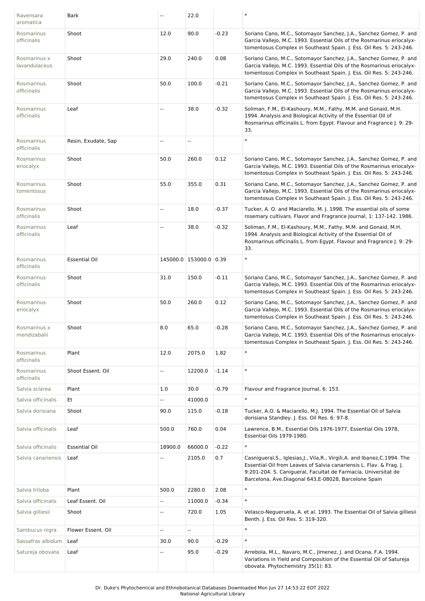| Ravensara<br>aromatica        | <b>Bark</b>          | $\overline{\phantom{a}}$ | 22.0                     |         |                                                                                                                                                                                                                                                                                 |
|-------------------------------|----------------------|--------------------------|--------------------------|---------|---------------------------------------------------------------------------------------------------------------------------------------------------------------------------------------------------------------------------------------------------------------------------------|
| Rosmarinus<br>officinalis     | Shoot                | 12.0                     | 90.0                     | $-0.23$ | Soriano Cano, M.C., Sotomayor Sanchez, J.A., Sanchez Gomez, P. and<br>Garcia Vallejo, M.C. 1993. Essential Oils of the Rosmarinus eriocalyx-<br>tomentosus Complex in Southeast Spain. J. Ess. Oil Res. 5: 243-246.                                                             |
| Rosmarinus x<br>lavandulaceus | Shoot                | 29.0                     | 240.0                    | 0.08    | Soriano Cano, M.C., Sotomayor Sanchez, J.A., Sanchez Gomez, P. and<br>Garcia Vallejo, M.C. 1993. Essential Oils of the Rosmarinus eriocalyx-<br>tomentosus Complex in Southeast Spain. J. Ess. Oil Res. 5: 243-246.                                                             |
| Rosmarinus<br>officinalis     | Shoot                | 50.0                     | 100.0                    | $-0.21$ | Soriano Cano, M.C., Sotomayor Sanchez, J.A., Sanchez Gomez, P. and<br>Garcia Vallejo, M.C. 1993. Essential Oils of the Rosmarinus eriocalyx-<br>tomentosus Complex in Southeast Spain. J. Ess. Oil Res. 5: 243-246.                                                             |
| Rosmarinus<br>officinalis     | Leaf                 | $\overline{\phantom{a}}$ | 38.0                     | $-0.32$ | Soliman, F.M., El-Kashoury, M.M., Fathy, M.M. and Gonaid, M.H.<br>1994. Analysis and Biological Activity of the Essential Oil of<br>Rosmarinus officinalis L. from Egypt. Flavour and Fragrance J. 9: 29-<br>33.                                                                |
| Rosmarinus<br>officinalis     | Resin, Exudate, Sap  | $\overline{\phantom{a}}$ | $\overline{\phantom{a}}$ |         | $\ast$                                                                                                                                                                                                                                                                          |
| Rosmarinus<br>eriocalyx       | Shoot                | 50.0                     | 260.0                    | 0.12    | Soriano Cano, M.C., Sotomayor Sanchez, J.A., Sanchez Gomez, P. and<br>Garcia Vallejo, M.C. 1993. Essential Oils of the Rosmarinus eriocalyx-<br>tomentosus Complex in Southeast Spain. J. Ess. Oil Res. 5: 243-246.                                                             |
| Rosmarinus<br>tomentosus      | Shoot                | 55.0                     | 355.0                    | 0.31    | Soriano Cano, M.C., Sotomayor Sanchez, J.A., Sanchez Gomez, P. and<br>Garcia Vallejo, M.C. 1993. Essential Oils of the Rosmarinus eriocalyx-<br>tomentosus Complex in Southeast Spain. J. Ess. Oil Res. 5: 243-246.                                                             |
| Rosmarinus<br>officinalis     | Shoot                | $\overline{\phantom{a}}$ | 18.0                     | $-0.37$ | Tucker, A. O. and Maciarello, M. J. 1998. The essential oils of some<br>rosemary cultivars. Flavor and Fragrance Journal, 1: 137-142. 1986.                                                                                                                                     |
| Rosmarinus<br>officinalis     | Leaf                 | $\overline{\phantom{a}}$ | 38.0                     | $-0.32$ | Soliman, F.M., El-Kashoury, M.M., Fathy, M.M. and Gonaid, M.H.<br>1994. Analysis and Biological Activity of the Essential Oil of<br>Rosmarinus officinalis L. from Egypt. Flavour and Fragrance J. 9: 29-<br>33.                                                                |
| Rosmarinus<br>officinalis     | <b>Essential Oil</b> |                          | 145000.0 153000.0 0.39   |         | $\ast$                                                                                                                                                                                                                                                                          |
| Rosmarinus<br>officinalis     | Shoot                | 31.0                     | 150.0                    | $-0.11$ | Soriano Cano, M.C., Sotomayor Sanchez, J.A., Sanchez Gomez, P. and<br>Garcia Vallejo, M.C. 1993. Essential Oils of the Rosmarinus eriocalyx-<br>tomentosus Complex in Southeast Spain. J. Ess. Oil Res. 5: 243-246.                                                             |
| Rosmarinus<br>eriocalyx       | Shoot                | 50.0                     | 260.0                    | 0.12    | Soriano Cano, M.C., Sotomayor Sanchez, J.A., Sanchez Gomez, P. and<br>Garcia Vallejo, M.C. 1993. Essential Oils of the Rosmarinus eriocalyx-<br>tomentosus Complex in Southeast Spain. J. Ess. Oil Res. 5: 243-246.                                                             |
| Rosmarinus x<br>mendizabalii  | Shoot                | 8.0                      | 65.0                     | $-0.28$ | Soriano Cano, M.C., Sotomayor Sanchez, J.A., Sanchez Gomez, P. and<br>Garcia Vallejo, M.C. 1993. Essential Oils of the Rosmarinus eriocalyx-<br>tomentosus Complex in Southeast Spain. J. Ess. Oil Res. 5: 243-246.                                                             |
| Rosmarinus<br>officinalis     | Plant                | 12.0                     | 2075.0                   | 1.82    | $\ast$                                                                                                                                                                                                                                                                          |
| Rosmarinus<br>officinalis     | Shoot Essent. Oil    | $\overline{\phantom{a}}$ | 12200.0                  | $-1.14$ | $\ast$                                                                                                                                                                                                                                                                          |
| Salvia sclarea                | Plant                | 1.0                      | 30.0                     | $-0.79$ | Flavour and Fragrance Journal, 6: 153.                                                                                                                                                                                                                                          |
| Salvia officinalis            | Et                   | Щ,                       | 41000.0                  |         | $\ast$                                                                                                                                                                                                                                                                          |
| Salvia dorisiana              | Shoot                | 90.0                     | 115.0                    | $-0.18$ | Tucker, A.O. & Maciarello, M.J. 1994. The Essential Oil of Salvia<br>dorisiana Standley. J. Ess. Oil Res. 6: 97-8.                                                                                                                                                              |
| Salvia officinalis            | Leaf                 | 500.0                    | 760.0                    | 0.04    | Lawrence, B.M., Essential Oils 1976-1977, Essential Oils 1978,<br>Essential Oils 1979-1980.                                                                                                                                                                                     |
| Salvia officinalis            | <b>Essential Oil</b> | 18900.0                  | 66000.0                  | $-0.22$ | $\ast$                                                                                                                                                                                                                                                                          |
| Salvia canariensis            | Leaf                 |                          | 2105.0                   | 0.7     | Casnigueral, S., Iglesias, J., Vila, R., Virgili, A. and Ibanez, C. 1994. The<br>Essential Oil from Leaves of Salvia canariensis L. Flav. & Frag. J.<br>9:201-204. S. Canigueral, Facultat de Farmacia, Universitat de<br>Barcelona, Ave.Diagonal 643, E-08028, Barcelone Spain |
| Salvia triloba                | Plant                | 500.0                    | 2280.0                   | 2.08    | $\ast$                                                                                                                                                                                                                                                                          |
| Salvia officinalis            | Leaf Essent. Oil     | $\overline{\phantom{a}}$ | 11000.0                  | $-0.34$ | $\ast$                                                                                                                                                                                                                                                                          |
| Salvia gilliesii              | Shoot                | $\overline{\phantom{a}}$ | 720.0                    | 1.05    | Velasco-Negueruela, A. et al. 1993. The Essential Oil of Salvia gilliesii<br>Benth. J. Ess. Oil Res. 5: 319-320.                                                                                                                                                                |
| Sambucus nigra                | Flower Essent. Oil   | $\overline{\phantom{a}}$ | $\overline{\phantom{a}}$ |         | $\ast$                                                                                                                                                                                                                                                                          |
| Sassafras albidum             | Leaf                 | 30.0                     | 90.0                     | $-0.29$ | $\ast$                                                                                                                                                                                                                                                                          |
| Satureja obovata              | Leaf                 | $\overline{\phantom{a}}$ | 95.0                     | $-0.29$ | Arrebola, M.L., Navaro, M.C., Jimenez, J. and Ocana, F.A. 1994.<br>Variations in Yield and Composition of the Essential Oil of Satureja<br>obovata. Phytochemistry 35(1): 83.                                                                                                   |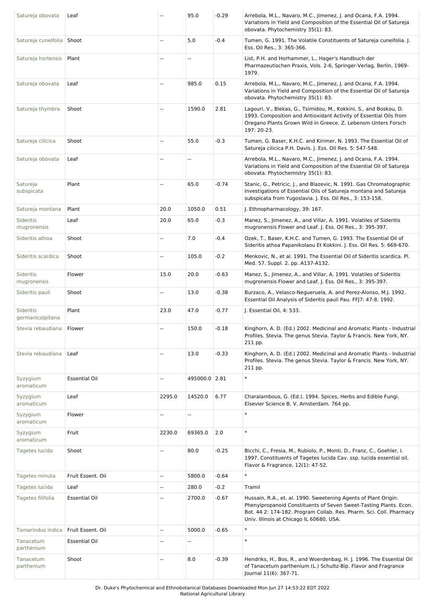| Satureja obovata                     | Leaf                 |                          | 95.0                     | $-0.29$ | Arrebola, M.L., Navaro, M.C., Jimenez, J. and Ocana, F.A. 1994.<br>Variations in Yield and Composition of the Essential Oil of Satureja<br>obovata. Phytochemistry 35(1): 83.                                                                           |
|--------------------------------------|----------------------|--------------------------|--------------------------|---------|---------------------------------------------------------------------------------------------------------------------------------------------------------------------------------------------------------------------------------------------------------|
| Satureja cuneifolia Shoot            |                      | u.                       | 5.0                      | $-0.4$  | Tumen, G. 1991. The Volatile Constituents of Satureja cuneifolia. J.<br>Ess. Oil Res., 3: 365-366.                                                                                                                                                      |
| Satureja hortensis                   | Plant                |                          | Ξ.                       |         | List, P.H. and Horhammer, L., Hager's Handbuch der<br>Pharmazeutischen Praxis, Vols. 2-6, Springer-Verlag, Berlin, 1969-<br>1979.                                                                                                                       |
| Satureja obovata                     | Leaf                 | --                       | 985.0                    | 0.15    | Arrebola, M.L., Navaro, M.C., Jimenez, J. and Ocana, F.A. 1994.<br>Variations in Yield and Composition of the Essential Oil of Satureja<br>obovata. Phytochemistry 35(1): 83.                                                                           |
| Satureja thymbra                     | Shoot                | Ξ.                       | 1590.0                   | 2.81    | Lagouri, V., Blekas, G., Tsimidou, M., Kokkini, S., and Boskou, D.<br>1993. Composition and Antioxidant Activity of Essential Oils from<br>Oregano Plants Grown Wild in Greece. Z. Lebensm Unters Forsch<br>197: 20-23.                                 |
| Satureja cilicica                    | Shoot                | --                       | 55.0                     | $-0.3$  | Tumen, G. Baser, K.H.C. and Kirimer, N. 1993. The Essential Oil of<br>Satureja cilicica P.H. Davis. J. Ess. Oil Res. 5: 547-548.                                                                                                                        |
| Satureja obovata                     | Leaf                 | --                       | $\overline{\phantom{a}}$ |         | Arrebola, M.L., Navaro, M.C., Jimenez, J. and Ocana, F.A. 1994.<br>Variations in Yield and Composition of the Essential Oil of Satureja<br>obovata. Phytochemistry 35(1): 83.                                                                           |
| Satureja<br>subspicata               | Plant                | u.                       | 65.0                     | $-0.74$ | Stanic, G., Petricic, J., and Blazevic, N. 1991. Gas Chromatographic<br>Investigations of Essential Oils of Satureja montana and Satureja<br>subspicata from Yugoslavia. J. Ess. Oil Res., 3: 153-158.                                                  |
| Satureja montana                     | Plant                | 20.0                     | 1050.0                   | 0.51    | J. Ethnopharmacology, 39: 167.                                                                                                                                                                                                                          |
| Sideritis<br>mugronensis             | Leaf                 | 20.0                     | 65.0                     | $-0.3$  | Manez, S., Jimenez, A., and Villar, A. 1991. Volatiles of Sideritis<br>mugronensis Flower and Leaf. J. Ess. Oil Res., 3: 395-397.                                                                                                                       |
| Sideritis athoa                      | Shoot                | --                       | 7.0                      | $-0.4$  | Ozek, T., Baser, K.H.C. and Tumen, G. 1993. The Essential Oil of<br>Sideritis athoa Papanikolaou Et Kokkini. J. Ess. Oil Res. 5: 669-670.                                                                                                               |
| Sideritis scardica                   | Shoot                | --                       | 105.0                    | $-0.2$  | Menkovic, N., et al. 1991. The Essential Oil of Sideritis scardica. Pl.<br>Med. 57. Suppl. 2. pp. A137-A132.                                                                                                                                            |
| Sideritis<br>mugronensis             | Flower               | 15.0                     | 20.0                     | $-0.63$ | Manez, S., Jimenez, A., and Villar, A. 1991. Volatiles of Sideritis<br>mugronensis Flower and Leaf. J. Ess. Oil Res., 3: 395-397.                                                                                                                       |
| Sideritis pauli                      | Shoot                | Ξ.                       | 13.0                     | $-0.38$ | Burzaco, A., Velasco-Negueruela, A. and Perez-Alonso, M.J. 1992.<br>Essential Oil Analysis of Sideritis pauli Pau. FFJ7: 47-8. 1992.                                                                                                                    |
| <b>Sideritis</b><br>germanicolpitana | Plant                | 23.0                     | 47.0                     | $-0.77$ | J. Essential Oil, 4: 533.                                                                                                                                                                                                                               |
| Stevia rebaudiana                    | Flower               | --                       | 150.0                    | $-0.18$ | Kinghorn, A. D. (Ed.) 2002. Medicinal and Aromatic Plants - Industrial<br>Profiles. Stevia. The genus Stevia. Taylor & Francis. New York, NY.<br>211 pp.                                                                                                |
| Stevia rebaudiana                    | Leaf                 | Ξ.                       | 13.0                     | $-0.33$ | Kinghorn, A. D. (Ed.) 2002. Medicinal and Aromatic Plants - Industrial<br>Profiles. Stevia. The genus Stevia. Taylor & Francis. New York, NY.<br>211 pp.                                                                                                |
| Syzygium<br>aromaticum               | <b>Essential Oil</b> | н.                       | 495000.0 2.81            |         | $\ast$                                                                                                                                                                                                                                                  |
| Syzygium<br>aromaticum               | Leaf                 | 2295.0                   | 14520.0                  | 6.77    | Charalambous, G. (Ed.). 1994. Spices, Herbs and Edible Fungi.<br>Elsevier Science B. V. Amsterdam. 764 pp.                                                                                                                                              |
| Syzygium<br>aromaticum               | Flower               | --                       | $\overline{\phantom{a}}$ |         | $\ast$                                                                                                                                                                                                                                                  |
| Syzygium<br>aromaticum               | Fruit                | 2230.0                   | 69365.0                  | 2.0     | $\ast$                                                                                                                                                                                                                                                  |
| Tagetes lucida                       | Shoot                | Щ.                       | 80.0                     | $-0.25$ | Bicchi, C., Fresia, M., Rubiolo, P., Monti, D., Franz, C., Goehler, I.<br>1997. Constituents of Tagetes lucida Cav. ssp. lucida essential oil.<br>Flavor & Fragrance, 12(1): 47-52.                                                                     |
| Tagetes minuta                       | Fruit Essent. Oil    | щ.                       | 5800.0                   | $-0.64$ | $\ast$                                                                                                                                                                                                                                                  |
| Tagetes lucida                       | Leaf                 | Ξ.                       | 280.0                    | $-0.2$  | Tramil                                                                                                                                                                                                                                                  |
| Tagetes filifolia                    | <b>Essential Oil</b> | $\overline{\phantom{a}}$ | 2700.0                   | $-0.67$ | Hussain, R.A., et. al. 1990. Sweetening Agents of Plant Origin:<br>Phenylpropanoid Constituents of Seven Sweet-Tasting Plants. Econ.<br>Bot. 44 2: 174-182. Program Collab. Res. Pharm. Sci. Coll. Pharmacy<br>Univ. Illinois at Chicago IL 60680, USA. |
| Tamarindus indica                    | Fruit Essent. Oil    | н.                       | 5000.0                   | $-0.65$ | $\ast$                                                                                                                                                                                                                                                  |
| Tanacetum<br>parthenium              | <b>Essential Oil</b> | --                       | $\overline{\phantom{a}}$ |         | $\ast$                                                                                                                                                                                                                                                  |
| Tanacetum<br>parthenium              | Shoot                | ۵.                       | 8.0                      | $-0.39$ | Hendriks, H., Bos, R., and Woerdenbag, H. J. 1996. The Essential Oil<br>of Tanacetum parthenium (L.) Schultz-Bip. Flavor and Fragrance<br>Journal 11(6): 367-71.                                                                                        |

Dr. Duke's Phytochemical and Ethnobotanical Databases Downloaded Mon Jun 27 14:53:22 EDT 2022 National Agricultural Library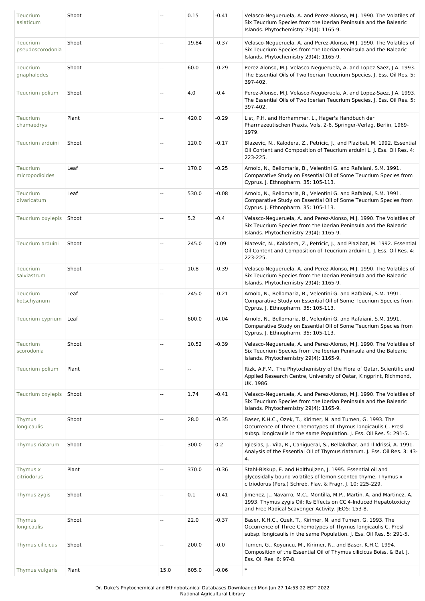| Teucrium<br>asiaticum        | Shoot |                             | 0.15  | $-0.41$ | Velasco-Negueruela, A. and Perez-Alonso, M.J. 1990. The Volatiles of<br>Six Teucrium Species from the Iberian Peninsula and the Balearic<br>Islands. Phytochemistry 29(4): 1165-9.                     |
|------------------------------|-------|-----------------------------|-------|---------|--------------------------------------------------------------------------------------------------------------------------------------------------------------------------------------------------------|
| Teucrium<br>pseudoscorodonia | Shoot | $\sim$                      | 19.84 | $-0.37$ | Velasco-Negueruela, A. and Perez-Alonso, M.J. 1990. The Volatiles of<br>Six Teucrium Species from the Iberian Peninsula and the Balearic<br>Islands. Phytochemistry 29(4): 1165-9.                     |
| Teucrium<br>gnaphalodes      | Shoot | --                          | 60.0  | $-0.29$ | Perez-Alonso, M.J. Velasco-Negueruela, A. and Lopez-Saez, J.A. 1993.<br>The Essential Oils of Two Iberian Teucrium Species. J. Ess. Oil Res. 5:<br>397-402.                                            |
| Teucrium polium              | Shoot | $\sim$                      | 4.0   | $-0.4$  | Perez-Alonso, M.J. Velasco-Negueruela, A. and Lopez-Saez, J.A. 1993.<br>The Essential Oils of Two Iberian Teucrium Species. J. Ess. Oil Res. 5:<br>397-402.                                            |
| Teucrium<br>chamaedrys       | Plant | $\overline{\phantom{a}}$    | 420.0 | $-0.29$ | List, P.H. and Horhammer, L., Hager's Handbuch der<br>Pharmazeutischen Praxis, Vols. 2-6, Springer-Verlag, Berlin, 1969-<br>1979.                                                                      |
| Teucrium arduini             | Shoot | $\mathbf{u}$                | 120.0 | $-0.17$ | Blazevic, N., Kalodera, Z., Petricic, J., and Plazibat, M. 1992. Essential<br>Oil Content and Composition of Teucrium arduini L. J. Ess. Oil Res. 4:<br>223-225.                                       |
| Teucrium<br>micropodioides   | Leaf  | $\overline{\phantom{a}}$    | 170.0 | $-0.25$ | Arnold, N., Bellomaria, B., Velentini G. and Rafaiani, S.M. 1991.<br>Comparative Study on Essential Oil of Some Teucrium Species from<br>Cyprus. J. Ethnopharm. 35: 105-113.                           |
| Teucrium<br>divaricatum      | Leaf  | Щ,                          | 530.0 | $-0.08$ | Arnold, N., Bellomaria, B., Velentini G. and Rafaiani, S.M. 1991.<br>Comparative Study on Essential Oil of Some Teucrium Species from<br>Cyprus. J. Ethnopharm. 35: 105-113.                           |
| Teucrium oxylepis            | Shoot | --                          | 5.2   | $-0.4$  | Velasco-Negueruela, A. and Perez-Alonso, M.J. 1990. The Volatiles of<br>Six Teucrium Species from the Iberian Peninsula and the Balearic<br>Islands. Phytochemistry 29(4): 1165-9.                     |
| Teucrium arduini             | Shoot | Щ,                          | 245.0 | 0.09    | Blazevic, N., Kalodera, Z., Petricic, J., and Plazibat, M. 1992. Essential<br>Oil Content and Composition of Teucrium arduini L. J. Ess. Oil Res. 4:<br>223-225.                                       |
| Teucrium<br>salviastrum      | Shoot | $\overline{\phantom{a}}$    | 10.8  | $-0.39$ | Velasco-Negueruela, A. and Perez-Alonso, M.J. 1990. The Volatiles of<br>Six Teucrium Species from the Iberian Peninsula and the Balearic<br>Islands. Phytochemistry 29(4): 1165-9.                     |
| Teucrium<br>kotschyanum      | Leaf  | $\overline{\phantom{a}}$    | 245.0 | $-0.21$ | Arnold, N., Bellomaria, B., Velentini G. and Rafaiani, S.M. 1991.<br>Comparative Study on Essential Oil of Some Teucrium Species from<br>Cyprus. J. Ethnopharm. 35: 105-113.                           |
| Teucrium cyprium             | Leaf  | $\mathcal{L}_{\mathcal{A}}$ | 600.0 | $-0.04$ | Arnold, N., Bellomaria, B., Velentini G. and Rafaiani, S.M. 1991.<br>Comparative Study on Essential Oil of Some Teucrium Species from<br>Cyprus. J. Ethnopharm. 35: 105-113.                           |
| Teucrium<br>scorodonia       | Shoot | $\overline{\phantom{a}}$    | 10.52 | $-0.39$ | Velasco-Negueruela, A. and Perez-Alonso, M.J. 1990. The Volatiles of<br>Six Teucrium Species from the Iberian Peninsula and the Balearic<br>Islands. Phytochemistry 29(4): 1165-9.                     |
| Teucrium polium              | Plant | --                          | Ξ.    |         | Rizk, A.F.M., The Phytochemistry of the Flora of Qatar, Scientific and<br>Applied Research Centre, University of Qatar, Kingprint, Richmond,<br>UK, 1986.                                              |
| Teucrium oxylepis            | Shoot | Щ,                          | 1.74  | $-0.41$ | Velasco-Negueruela, A. and Perez-Alonso, M.J. 1990. The Volatiles of<br>Six Teucrium Species from the Iberian Peninsula and the Balearic<br>Islands. Phytochemistry 29(4): 1165-9.                     |
| Thymus<br>longicaulis        | Shoot | Щ,                          | 28.0  | $-0.35$ | Baser, K.H.C., Ozek, T., Kirimer, N. and Tumen, G. 1993. The<br>Occurrence of Three Chemotypes of Thymus longicaulis C. Presl<br>subsp. longicaulis in the same Population. J. Ess. Oil Res. 5: 291-5. |
| Thymus riatarum              | Shoot | $\overline{\phantom{a}}$    | 300.0 | 0.2     | Iglesias, J., Vila, R., Canigueral, S., Bellakdhar, and Il Idrissi, A. 1991.<br>Analysis of the Essential Oil of Thymus riatarum. J. Ess. Oil Res. 3: 43-<br>4.                                        |
| Thymus x<br>citriodorus      | Plant | u.                          | 370.0 | $-0.36$ | Stahl-Biskup, E. and Holthuijzen, J. 1995. Essential oil and<br>glycosidally bound volatiles of lemon-scented thyme, Thymus x<br>citriodorus (Pers.) Schreb. Flav. & Fragr. J. 10: 225-229.            |
| Thymus zygis                 | Shoot | $\overline{\phantom{a}}$    | 0.1   | $-0.41$ | Jimenez, J., Navarro, M.C., Montilla, M.P., Martin, A. and Martinez, A.<br>1993. Thymus zygis Oil: Its Effects on CCI4-Induced Hepatotoxicity<br>and Free Radical Scavenger Activity. JEO5: 153-8.     |
| Thymus<br>longicaulis        | Shoot | Щ,                          | 22.0  | $-0.37$ | Baser, K.H.C., Ozek, T., Kirimer, N. and Tumen, G. 1993. The<br>Occurrence of Three Chemotypes of Thymus longicaulis C. Presl<br>subsp. longicaulis in the same Population. J. Ess. Oil Res. 5: 291-5. |
| Thymus cilicicus             | Shoot | Щ,                          | 200.0 | $-0.0$  | Tumen, G., Koyuncu, M., Kirimer, N., and Baser, K.H.C. 1994.<br>Composition of the Essential Oil of Thymus cilicicus Boiss. & Bal. J.<br>Ess. Oil Res. 6: 97-8.                                        |
| Thymus vulgaris              | Plant | 15.0                        | 605.0 | $-0.06$ | $\ast$                                                                                                                                                                                                 |